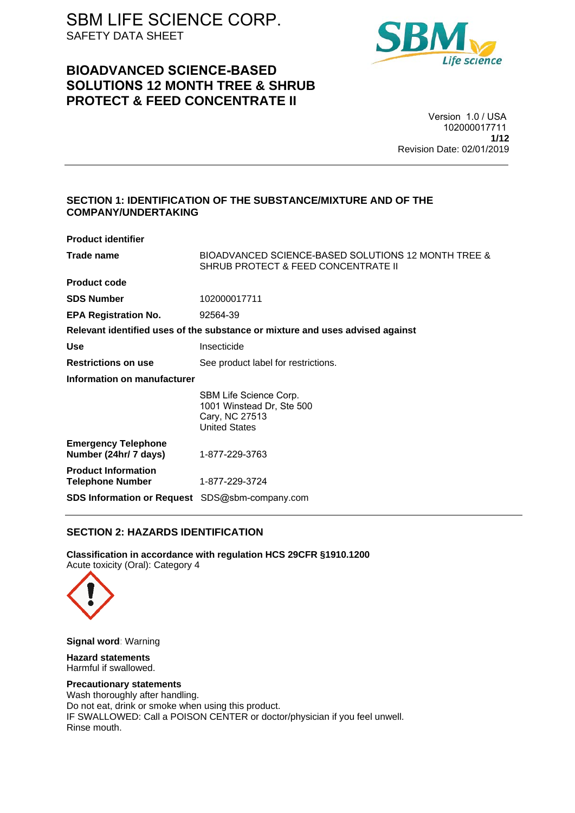## **BIOADVANCED SCIENCE-BASED SOLUTIONS 12 MONTH TREE & SHRUB PROTECT & FEED CONCENTRATE II**



Version 1.0 / USA 102000017711 **1/12** Revision Date: 02/01/2019

## **SECTION 1: IDENTIFICATION OF THE SUBSTANCE/MIXTURE AND OF THE COMPANY/UNDERTAKING**

| <b>Product identifier</b>                             |                                                                                               |
|-------------------------------------------------------|-----------------------------------------------------------------------------------------------|
| Trade name                                            | BIOADVANCED SCIENCE-BASED SOLUTIONS 12 MONTH TREE &<br>SHRUB PROTECT & FEED CONCENTRATE II    |
| <b>Product code</b>                                   |                                                                                               |
| <b>SDS Number</b>                                     | 102000017711                                                                                  |
| <b>EPA Registration No.</b>                           | 92564-39                                                                                      |
|                                                       | Relevant identified uses of the substance or mixture and uses advised against                 |
| <b>Use</b>                                            | Insecticide                                                                                   |
| <b>Restrictions on use</b>                            | See product label for restrictions.                                                           |
| Information on manufacturer                           |                                                                                               |
|                                                       | SBM Life Science Corp.<br>1001 Winstead Dr, Ste 500<br>Cary, NC 27513<br><b>United States</b> |
| <b>Emergency Telephone</b><br>Number (24hr/ 7 days)   | 1-877-229-3763                                                                                |
| <b>Product Information</b><br><b>Telephone Number</b> | 1-877-229-3724                                                                                |
| SDS Information or Request SDS@sbm-company.com        |                                                                                               |

## **SECTION 2: HAZARDS IDENTIFICATION**

**Classification in accordance with regulation HCS 29CFR §1910.1200**  Acute toxicity (Oral): Category 4



**Signal word**: Warning

**Hazard statements**  Harmful if swallowed.

#### **Precautionary statements**

Wash thoroughly after handling. Do not eat, drink or smoke when using this product. IF SWALLOWED: Call a POISON CENTER or doctor/physician if you feel unwell. Rinse mouth.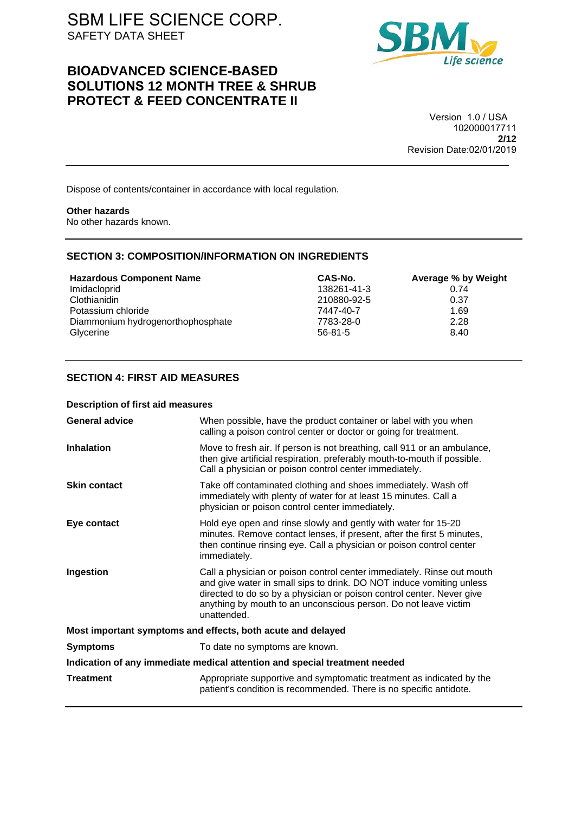## **BIOADVANCED SCIENCE-BASED SOLUTIONS 12 MONTH TREE & SHRUB PROTECT & FEED CONCENTRATE II**



Version 1.0 / USA 102000017711 **2/12** Revision Date:02/01/2019

Dispose of contents/container in accordance with local regulation.

#### **Other hazards**

No other hazards known.

## **SECTION 3: COMPOSITION/INFORMATION ON INGREDIENTS**

| <b>Hazardous Component Name</b>   | CAS-No.       | Average % by Weight |
|-----------------------------------|---------------|---------------------|
| Imidacloprid                      | 138261-41-3   | 0.74                |
| Clothianidin                      | 210880-92-5   | 0.37                |
| Potassium chloride                | 7447-40-7     | 1.69                |
| Diammonium hydrogenorthophosphate | 7783-28-0     | 2.28                |
| Glycerine                         | $56 - 81 - 5$ | 8.40                |

## **SECTION 4: FIRST AID MEASURES**

#### **Description of first aid measures**

| <b>General advice</b>                                                      | When possible, have the product container or label with you when<br>calling a poison control center or doctor or going for treatment.                                                                                                                                                                     |  |
|----------------------------------------------------------------------------|-----------------------------------------------------------------------------------------------------------------------------------------------------------------------------------------------------------------------------------------------------------------------------------------------------------|--|
| <b>Inhalation</b>                                                          | Move to fresh air. If person is not breathing, call 911 or an ambulance,<br>then give artificial respiration, preferably mouth-to-mouth if possible.<br>Call a physician or poison control center immediately.                                                                                            |  |
| <b>Skin contact</b>                                                        | Take off contaminated clothing and shoes immediately. Wash off<br>immediately with plenty of water for at least 15 minutes. Call a<br>physician or poison control center immediately.                                                                                                                     |  |
| Eye contact                                                                | Hold eye open and rinse slowly and gently with water for 15-20<br>minutes. Remove contact lenses, if present, after the first 5 minutes,<br>then continue rinsing eye. Call a physician or poison control center<br>immediately.                                                                          |  |
| Ingestion                                                                  | Call a physician or poison control center immediately. Rinse out mouth<br>and give water in small sips to drink. DO NOT induce vomiting unless<br>directed to do so by a physician or poison control center. Never give<br>anything by mouth to an unconscious person. Do not leave victim<br>unattended. |  |
| Most important symptoms and effects, both acute and delayed                |                                                                                                                                                                                                                                                                                                           |  |
| <b>Symptoms</b>                                                            | To date no symptoms are known.                                                                                                                                                                                                                                                                            |  |
| Indication of any immediate medical attention and special treatment needed |                                                                                                                                                                                                                                                                                                           |  |
| <b>Treatment</b>                                                           | Appropriate supportive and symptomatic treatment as indicated by the<br>patient's condition is recommended. There is no specific antidote.                                                                                                                                                                |  |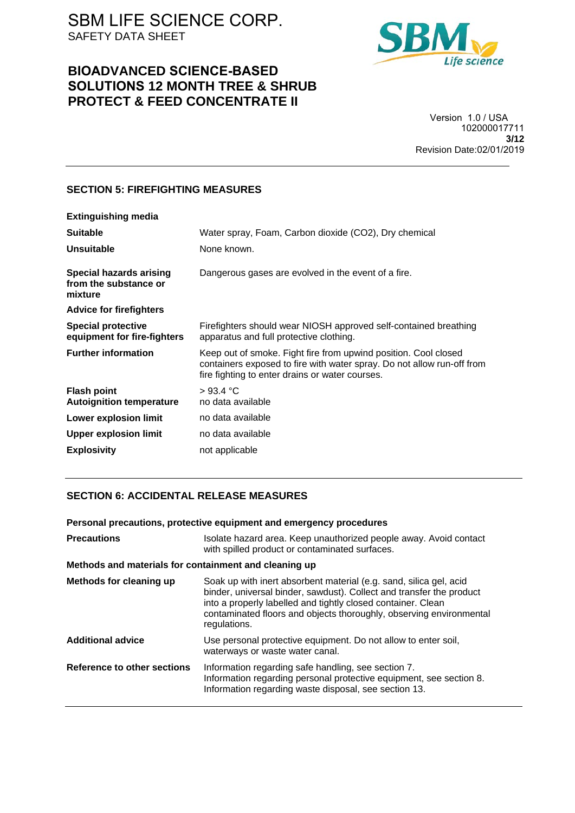## **BIOADVANCED SCIENCE-BASED SOLUTIONS 12 MONTH TREE & SHRUB PROTECT & FEED CONCENTRATE II**



Version 1.0 / USA 102000017711 **3/12** Revision Date:02/01/2019

## **SECTION 5: FIREFIGHTING MEASURES**

| <b>Extinguishing media</b>                                         |                                                                                                                                                                                              |
|--------------------------------------------------------------------|----------------------------------------------------------------------------------------------------------------------------------------------------------------------------------------------|
| <b>Suitable</b>                                                    | Water spray, Foam, Carbon dioxide (CO2), Dry chemical                                                                                                                                        |
| <b>Unsuitable</b>                                                  | None known.                                                                                                                                                                                  |
| <b>Special hazards arising</b><br>from the substance or<br>mixture | Dangerous gases are evolved in the event of a fire.                                                                                                                                          |
| <b>Advice for firefighters</b>                                     |                                                                                                                                                                                              |
| <b>Special protective</b><br>equipment for fire-fighters           | Firefighters should wear NIOSH approved self-contained breathing<br>apparatus and full protective clothing.                                                                                  |
| <b>Further information</b>                                         | Keep out of smoke. Fight fire from upwind position. Cool closed<br>containers exposed to fire with water spray. Do not allow run-off from<br>fire fighting to enter drains or water courses. |
| <b>Flash point</b><br><b>Autoignition temperature</b>              | >93.4 °C<br>no data available                                                                                                                                                                |
| Lower explosion limit                                              | no data available                                                                                                                                                                            |
| <b>Upper explosion limit</b>                                       | no data available                                                                                                                                                                            |
| <b>Explosivity</b>                                                 | not applicable                                                                                                                                                                               |
|                                                                    |                                                                                                                                                                                              |

## **SECTION 6: ACCIDENTAL RELEASE MEASURES**

| Personal precautions, protective equipment and emergency procedures |                                                                                                                                                                                                                                                                                                   |  |
|---------------------------------------------------------------------|---------------------------------------------------------------------------------------------------------------------------------------------------------------------------------------------------------------------------------------------------------------------------------------------------|--|
| <b>Precautions</b>                                                  | Isolate hazard area. Keep unauthorized people away. Avoid contact<br>with spilled product or contaminated surfaces.                                                                                                                                                                               |  |
| Methods and materials for containment and cleaning up               |                                                                                                                                                                                                                                                                                                   |  |
| Methods for cleaning up                                             | Soak up with inert absorbent material (e.g. sand, silica gel, acid<br>binder, universal binder, sawdust). Collect and transfer the product<br>into a properly labelled and tightly closed container. Clean<br>contaminated floors and objects thoroughly, observing environmental<br>regulations. |  |
| <b>Additional advice</b>                                            | Use personal protective equipment. Do not allow to enter soil,<br>waterways or waste water canal.                                                                                                                                                                                                 |  |
| Reference to other sections                                         | Information regarding safe handling, see section 7.<br>Information regarding personal protective equipment, see section 8.<br>Information regarding waste disposal, see section 13.                                                                                                               |  |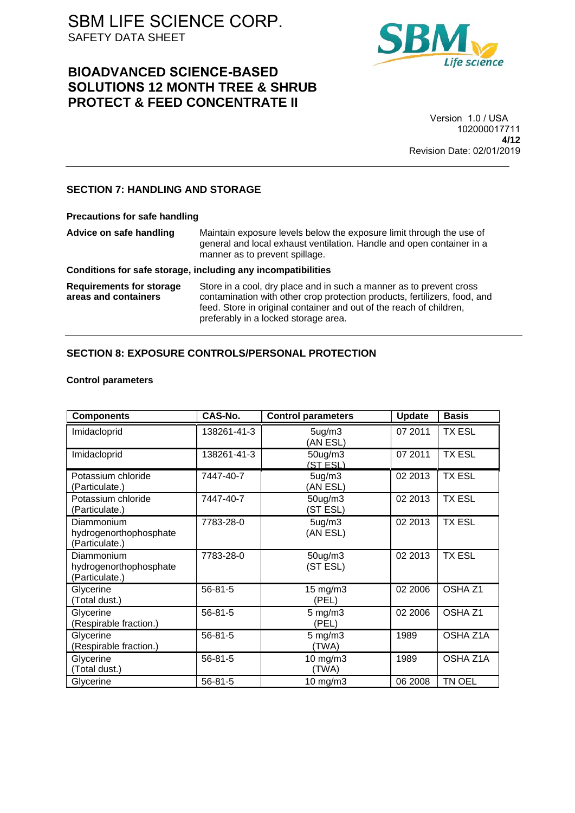## **BIOADVANCED SCIENCE-BASED SOLUTIONS 12 MONTH TREE & SHRUB PROTECT & FEED CONCENTRATE II**



#### Version 1.0 / USA 102000017711 **4/12** Revision Date: 02/01/2019

## **SECTION 7: HANDLING AND STORAGE**

| <b>Precautions for safe handling</b>                    |                                                                                                                                                                                                                                                                 |
|---------------------------------------------------------|-----------------------------------------------------------------------------------------------------------------------------------------------------------------------------------------------------------------------------------------------------------------|
| Advice on safe handling                                 | Maintain exposure levels below the exposure limit through the use of<br>general and local exhaust ventilation. Handle and open container in a<br>manner as to prevent spillage.                                                                                 |
|                                                         | Conditions for safe storage, including any incompatibilities                                                                                                                                                                                                    |
| <b>Requirements for storage</b><br>areas and containers | Store in a cool, dry place and in such a manner as to prevent cross<br>contamination with other crop protection products, fertilizers, food, and<br>feed. Store in original container and out of the reach of children,<br>preferably in a locked storage area. |

## **SECTION 8: EXPOSURE CONTROLS/PERSONAL PROTECTION**

## **Control parameters**

| <b>Components</b>                                      | CAS-No.       | <b>Control parameters</b>       | <b>Update</b> | <b>Basis</b>       |
|--------------------------------------------------------|---------------|---------------------------------|---------------|--------------------|
| Imidacloprid                                           | 138261-41-3   | 5ug/m3<br>(AN ESL)              | 07 2011       | <b>TX ESL</b>      |
| Imidacloprid                                           | 138261-41-3   | 50ug/m3<br>(STESL)              | 07 2011       | <b>TX ESL</b>      |
| Potassium chloride<br>(Particulate.)                   | 7447-40-7     | 5 <sub>ug</sub> /m3<br>(AN ESL) | 02 2013       | <b>TX ESL</b>      |
| Potassium chloride<br>(Particulate.)                   | 7447-40-7     | 50ug/m3<br>(ST ESL)             | 02 2013       | <b>TX ESL</b>      |
| Diammonium<br>hydrogenorthophosphate<br>(Particulate.) | 7783-28-0     | 5ug/m3<br>(AN ESL)              | 02 2013       | TX ESL             |
| Diammonium<br>hydrogenorthophosphate<br>(Particulate.) | 7783-28-0     | 50ug/m3<br>(ST ESL)             | 02 2013       | <b>TX ESL</b>      |
| Glycerine<br>(Total dust.)                             | 56-81-5       | $15 \text{ mg/m}$<br>(PEL)      | 02 2006       | OSHA <sub>Z1</sub> |
| Glycerine<br>(Respirable fraction.)                    | $56 - 81 - 5$ | $5 \text{ mg/m}$ 3<br>(PEL)     | 02 2006       | OSHA <sub>Z1</sub> |
| Glycerine<br>(Respirable fraction.)                    | $56 - 81 - 5$ | $5 \text{ mg/m}$ 3<br>(TWA)     | 1989          | OSHA Z1A           |
| Glycerine<br>(Total dust.)                             | 56-81-5       | 10 mg/m3<br>(TWA)               | 1989          | OSHA Z1A           |
| Glycerine                                              | 56-81-5       | 10 mg/m3                        | 06 2008       | TN OEL             |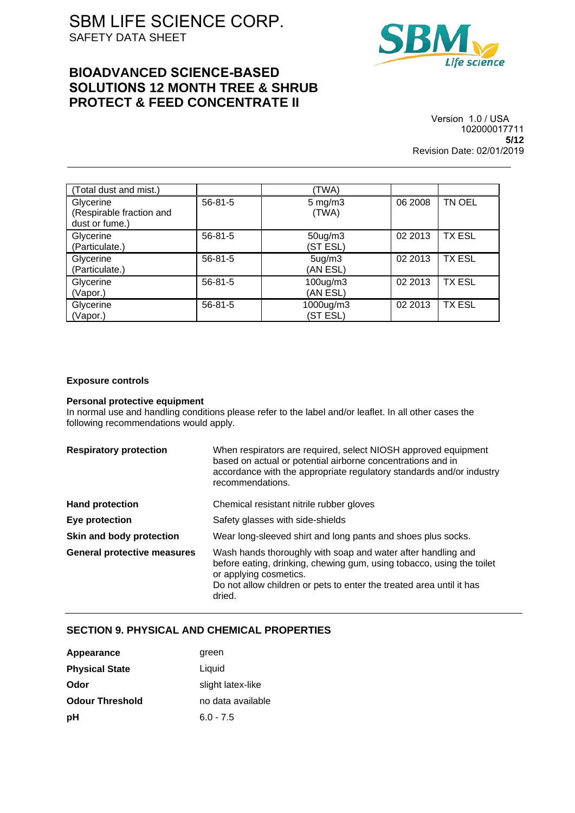## **BIOADVANCED SCIENCE-BASED SOLUTIONS 12 MONTH TREE & SHRUB PROTECT & FEED CONCENTRATE II**



Version 1.0 / USA 102000017711 **5/12** Revision Date: 02/01/2019

| (Total dust and mist.)                                  |               | (TWA)                           |         |               |
|---------------------------------------------------------|---------------|---------------------------------|---------|---------------|
| Glycerine<br>(Respirable fraction and<br>dust or fume.) | $56 - 81 - 5$ | $5 \text{ mg/m}$ 3<br>(TWA)     | 06 2008 | TN OEL        |
| Glycerine<br>(Particulate.)                             | $56 - 81 - 5$ | $50$ ug/m $3$<br>(ST ESL)       | 02 2013 | <b>TX ESL</b> |
| Glycerine<br>(Particulate.)                             | $56 - 81 - 5$ | 5 <sub>ug</sub> /m3<br>(AN ESL) | 02 2013 | <b>TX ESL</b> |
| Glycerine<br>(Vapor.)                                   | $56 - 81 - 5$ | 100ug/m3<br>(AN ESL)            | 02 2013 | <b>TX ESL</b> |
| Glycerine<br>(Vapor.)                                   | $56 - 81 - 5$ | 1000ug/m3<br>(ST ESL)           | 02 2013 | <b>TX ESL</b> |

#### **Exposure controls**

#### **Personal protective equipment**

In normal use and handling conditions please refer to the label and/or leaflet. In all other cases the following recommendations would apply.

| <b>Respiratory protection</b>      | When respirators are required, select NIOSH approved equipment<br>based on actual or potential airborne concentrations and in<br>accordance with the appropriate regulatory standards and/or industry<br>recommendations.                         |
|------------------------------------|---------------------------------------------------------------------------------------------------------------------------------------------------------------------------------------------------------------------------------------------------|
| <b>Hand protection</b>             | Chemical resistant nitrile rubber gloves                                                                                                                                                                                                          |
| Eye protection                     | Safety glasses with side-shields                                                                                                                                                                                                                  |
| Skin and body protection           | Wear long-sleeved shirt and long pants and shoes plus socks.                                                                                                                                                                                      |
| <b>General protective measures</b> | Wash hands thoroughly with soap and water after handling and<br>before eating, drinking, chewing gum, using tobacco, using the toilet<br>or applying cosmetics.<br>Do not allow children or pets to enter the treated area until it has<br>dried. |

## **SECTION 9. PHYSICAL AND CHEMICAL PROPERTIES**

| Appearance             | green             |
|------------------------|-------------------|
| <b>Physical State</b>  | Liquid            |
| Odor                   | slight latex-like |
| <b>Odour Threshold</b> | no data available |
| рH                     | $6.0 - 7.5$       |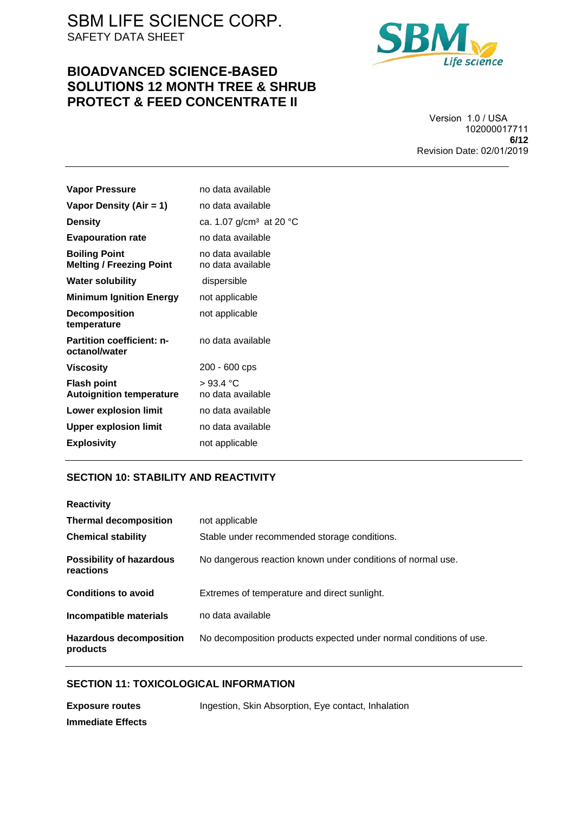## **BIOADVANCED SCIENCE-BASED SOLUTIONS 12 MONTH TREE & SHRUB PROTECT & FEED CONCENTRATE II**



Version 1.0 / USA 102000017711 **6/12** Revision Date: 02/01/2019

| no data available                      |
|----------------------------------------|
| no data available                      |
| ca. 1.07 g/cm <sup>3</sup> at 20 °C    |
| no data available                      |
| no data available<br>no data available |
| dispersible                            |
| not applicable                         |
| not applicable                         |
| no data available                      |
| 200 - 600 cps                          |
| >93.4 °C<br>no data available          |
| no data available                      |
| no data available                      |
| not applicable                         |
|                                        |

## **SECTION 10: STABILITY AND REACTIVITY**

| <b>Reactivity</b>                          |                                                                    |
|--------------------------------------------|--------------------------------------------------------------------|
| <b>Thermal decomposition</b>               | not applicable                                                     |
| <b>Chemical stability</b>                  | Stable under recommended storage conditions.                       |
| Possibility of hazardous<br>reactions      | No dangerous reaction known under conditions of normal use.        |
| <b>Conditions to avoid</b>                 | Extremes of temperature and direct sunlight.                       |
| Incompatible materials                     | no data available                                                  |
| <b>Hazardous decomposition</b><br>products | No decomposition products expected under normal conditions of use. |

## **SECTION 11: TOXICOLOGICAL INFORMATION**

| <b>Exposure routes</b> | Ingestion, Skin Absorption, Eye contact, Inhalation |
|------------------------|-----------------------------------------------------|
| Immediate Effects      |                                                     |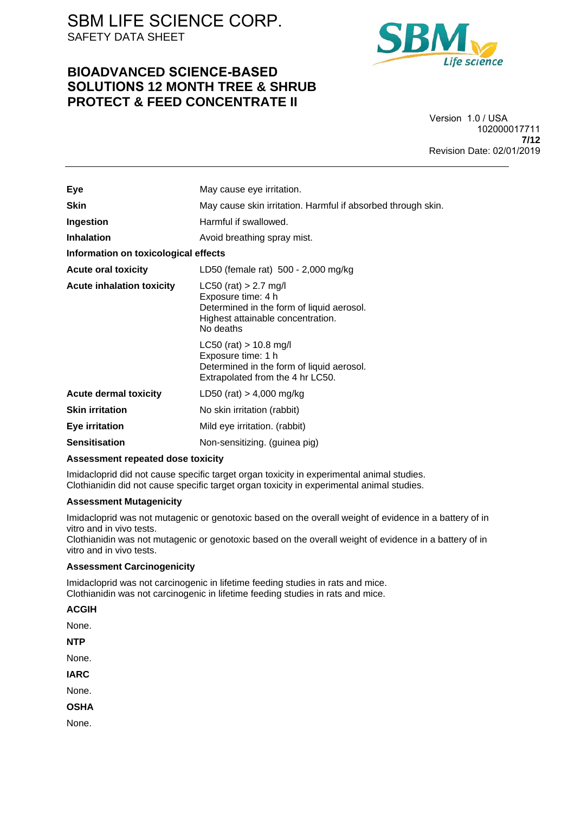## **BIOADVANCED SCIENCE-BASED SOLUTIONS 12 MONTH TREE & SHRUB PROTECT & FEED CONCENTRATE II**



Version 1.0 / USA 102000017711 **7/12** Revision Date: 02/01/2019

| Eye                                  | May cause eye irritation.                                                                                                                    |  |
|--------------------------------------|----------------------------------------------------------------------------------------------------------------------------------------------|--|
| <b>Skin</b>                          | May cause skin irritation. Harmful if absorbed through skin.                                                                                 |  |
| Ingestion                            | Harmful if swallowed.                                                                                                                        |  |
| <b>Inhalation</b>                    | Avoid breathing spray mist.                                                                                                                  |  |
| Information on toxicological effects |                                                                                                                                              |  |
| <b>Acute oral toxicity</b>           | LD50 (female rat) 500 - 2,000 mg/kg                                                                                                          |  |
| <b>Acute inhalation toxicity</b>     | $LC50$ (rat) > 2.7 mg/l<br>Exposure time: 4 h<br>Determined in the form of liquid aerosol.<br>Highest attainable concentration.<br>No deaths |  |
|                                      | $LC50$ (rat) > 10.8 mg/l<br>Exposure time: 1 h<br>Determined in the form of liquid aerosol.<br>Extrapolated from the 4 hr LC50.              |  |
| <b>Acute dermal toxicity</b>         | LD50 (rat) $> 4,000$ mg/kg                                                                                                                   |  |
| <b>Skin irritation</b>               | No skin irritation (rabbit)                                                                                                                  |  |
| <b>Eye irritation</b>                | Mild eye irritation. (rabbit)                                                                                                                |  |
| <b>Sensitisation</b>                 | Non-sensitizing. (guinea pig)                                                                                                                |  |
|                                      |                                                                                                                                              |  |

#### **Assessment repeated dose toxicity**

Imidacloprid did not cause specific target organ toxicity in experimental animal studies. Clothianidin did not cause specific target organ toxicity in experimental animal studies.

### **Assessment Mutagenicity**

Imidacloprid was not mutagenic or genotoxic based on the overall weight of evidence in a battery of in vitro and in vivo tests.

Clothianidin was not mutagenic or genotoxic based on the overall weight of evidence in a battery of in vitro and in vivo tests.

## **Assessment Carcinogenicity**

Imidacloprid was not carcinogenic in lifetime feeding studies in rats and mice. Clothianidin was not carcinogenic in lifetime feeding studies in rats and mice.

| <b>ACGIH</b> |
|--------------|
| None         |
| NTP          |
| None.        |
| IARC         |
| None.        |
| OSHA         |
| None.        |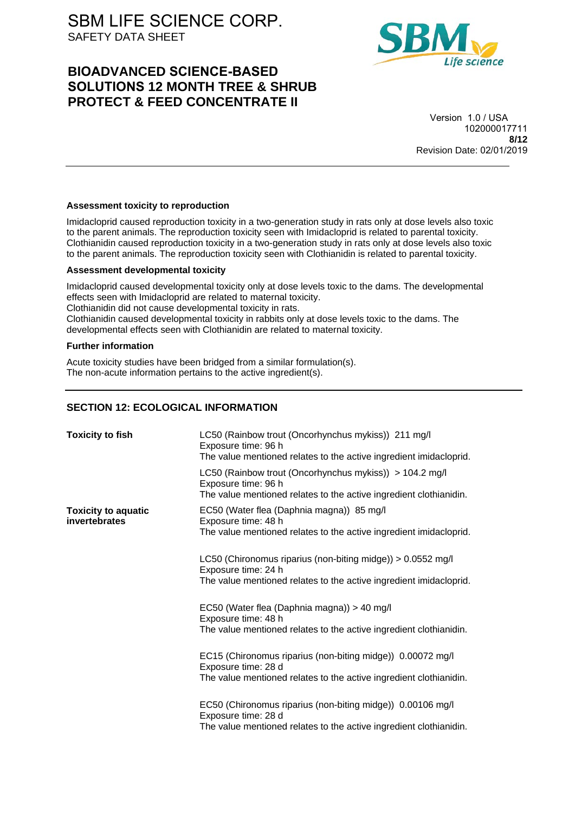## **BIOADVANCED SCIENCE-BASED SOLUTIONS 12 MONTH TREE & SHRUB PROTECT & FEED CONCENTRATE II**



Version 1.0 / USA 102000017711 **8/12** Revision Date: 02/01/2019

## **Assessment toxicity to reproduction**

Imidacloprid caused reproduction toxicity in a two-generation study in rats only at dose levels also toxic to the parent animals. The reproduction toxicity seen with Imidacloprid is related to parental toxicity. Clothianidin caused reproduction toxicity in a two-generation study in rats only at dose levels also toxic to the parent animals. The reproduction toxicity seen with Clothianidin is related to parental toxicity.

### **Assessment developmental toxicity**

Imidacloprid caused developmental toxicity only at dose levels toxic to the dams. The developmental effects seen with Imidacloprid are related to maternal toxicity. Clothianidin did not cause developmental toxicity in rats. Clothianidin caused developmental toxicity in rabbits only at dose levels toxic to the dams. The developmental effects seen with Clothianidin are related to maternal toxicity.

#### **Further information**

Acute toxicity studies have been bridged from a similar formulation(s). The non-acute information pertains to the active ingredient(s).

## **SECTION 12: ECOLOGICAL INFORMATION**

| <b>Toxicity to fish</b>                     | LC50 (Rainbow trout (Oncorhynchus mykiss)) 211 mg/l<br>Exposure time: 96 h<br>The value mentioned relates to the active ingredient imidacloprid.         |
|---------------------------------------------|----------------------------------------------------------------------------------------------------------------------------------------------------------|
|                                             | LC50 (Rainbow trout (Oncorhynchus mykiss)) > 104.2 mg/l<br>Exposure time: 96 h<br>The value mentioned relates to the active ingredient clothianidin.     |
| <b>Toxicity to aquatic</b><br>invertebrates | EC50 (Water flea (Daphnia magna)) 85 mg/l<br>Exposure time: 48 h<br>The value mentioned relates to the active ingredient imidacloprid.                   |
|                                             | LC50 (Chironomus riparius (non-biting midge)) > 0.0552 mg/l<br>Exposure time: 24 h<br>The value mentioned relates to the active ingredient imidacloprid. |
|                                             | EC50 (Water flea (Daphnia magna)) > 40 mg/l<br>Exposure time: 48 h<br>The value mentioned relates to the active ingredient clothianidin.                 |
|                                             | EC15 (Chironomus riparius (non-biting midge)) 0.00072 mg/l<br>Exposure time: 28 d<br>The value mentioned relates to the active ingredient clothianidin.  |
|                                             | EC50 (Chironomus riparius (non-biting midge)) 0.00106 mg/l<br>Exposure time: 28 d<br>The value mentioned relates to the active ingredient clothianidin.  |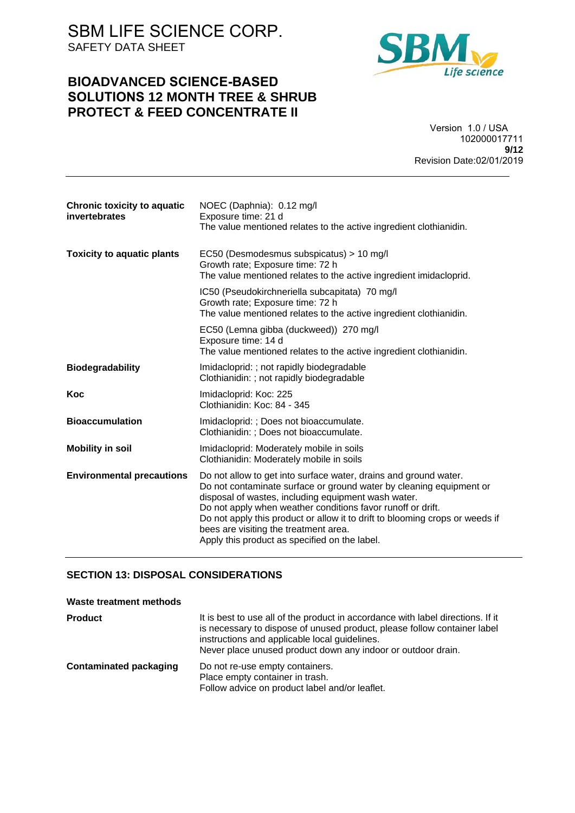## **BIOADVANCED SCIENCE-BASED SOLUTIONS 12 MONTH TREE & SHRUB PROTECT & FEED CONCENTRATE II**



### Version 1.0 / USA 102000017711 **9/12** Revision Date:02/01/2019

| Chronic toxicity to aquatic<br>invertebrates | NOEC (Daphnia): 0.12 mg/l<br>Exposure time: 21 d<br>The value mentioned relates to the active ingredient clothianidin.                                                                                                                                                                                                                                                                                                                  |
|----------------------------------------------|-----------------------------------------------------------------------------------------------------------------------------------------------------------------------------------------------------------------------------------------------------------------------------------------------------------------------------------------------------------------------------------------------------------------------------------------|
|                                              |                                                                                                                                                                                                                                                                                                                                                                                                                                         |
| <b>Toxicity to aquatic plants</b>            | EC50 (Desmodesmus subspicatus) > 10 mg/l<br>Growth rate; Exposure time: 72 h<br>The value mentioned relates to the active ingredient imidacloprid.                                                                                                                                                                                                                                                                                      |
|                                              | IC50 (Pseudokirchneriella subcapitata) 70 mg/l<br>Growth rate; Exposure time: 72 h<br>The value mentioned relates to the active ingredient clothianidin.                                                                                                                                                                                                                                                                                |
|                                              | EC50 (Lemna gibba (duckweed)) 270 mg/l<br>Exposure time: 14 d<br>The value mentioned relates to the active ingredient clothianidin.                                                                                                                                                                                                                                                                                                     |
| <b>Biodegradability</b>                      | Imidacloprid: ; not rapidly biodegradable<br>Clothianidin: ; not rapidly biodegradable                                                                                                                                                                                                                                                                                                                                                  |
| Koc                                          | Imidacloprid: Koc: 225<br>Clothianidin: Koc: 84 - 345                                                                                                                                                                                                                                                                                                                                                                                   |
| <b>Bioaccumulation</b>                       | Imidacloprid: ; Does not bioaccumulate.<br>Clothianidin: ; Does not bioaccumulate.                                                                                                                                                                                                                                                                                                                                                      |
| <b>Mobility in soil</b>                      | Imidacloprid: Moderately mobile in soils<br>Clothianidin: Moderately mobile in soils                                                                                                                                                                                                                                                                                                                                                    |
| <b>Environmental precautions</b>             | Do not allow to get into surface water, drains and ground water.<br>Do not contaminate surface or ground water by cleaning equipment or<br>disposal of wastes, including equipment wash water.<br>Do not apply when weather conditions favor runoff or drift.<br>Do not apply this product or allow it to drift to blooming crops or weeds if<br>bees are visiting the treatment area.<br>Apply this product as specified on the label. |

## **SECTION 13: DISPOSAL CONSIDERATIONS**

| Waste treatment methods       |                                                                                                                                                                                                                                                                              |
|-------------------------------|------------------------------------------------------------------------------------------------------------------------------------------------------------------------------------------------------------------------------------------------------------------------------|
| <b>Product</b>                | It is best to use all of the product in accordance with label directions. If it<br>is necessary to dispose of unused product, please follow container label<br>instructions and applicable local guidelines.<br>Never place unused product down any indoor or outdoor drain. |
| <b>Contaminated packaging</b> | Do not re-use empty containers.<br>Place empty container in trash.<br>Follow advice on product label and/or leaflet.                                                                                                                                                         |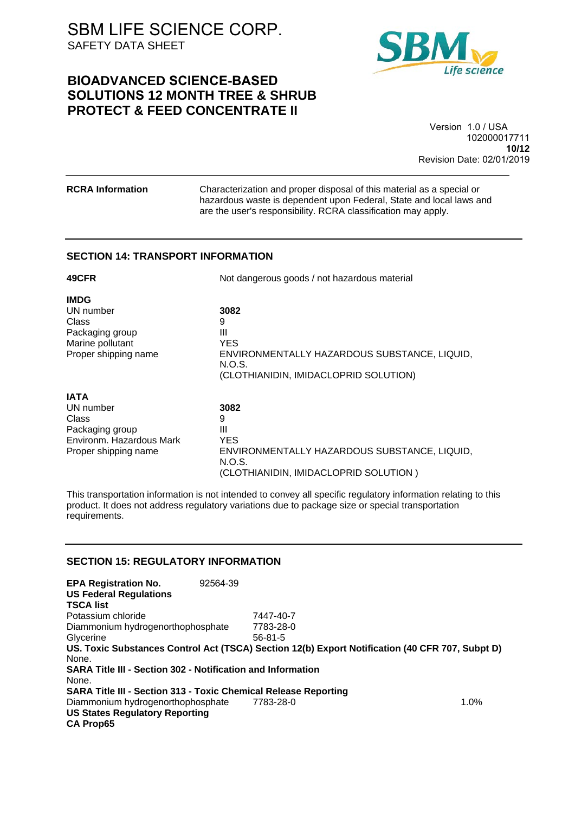## **BIOADVANCED SCIENCE-BASED SOLUTIONS 12 MONTH TREE & SHRUB PROTECT & FEED CONCENTRATE II**



#### Version 1.0 / USA 102000017711 **10/12** Revision Date: 02/01/2019

**RCRA Information** Characterization and proper disposal of this material as a special or hazardous waste is dependent upon Federal, State and local laws and are the user's responsibility. RCRA classification may apply.

## **SECTION 14: TRANSPORT INFORMATION**

| 49CFR                    | Not dangerous goods / not hazardous material    |  |
|--------------------------|-------------------------------------------------|--|
| <b>IMDG</b>              |                                                 |  |
| UN number                | 3082                                            |  |
| Class                    | 9                                               |  |
| Packaging group          | Ш                                               |  |
| Marine pollutant         | <b>YES</b>                                      |  |
| Proper shipping name     | ENVIRONMENTALLY HAZARDOUS SUBSTANCE, LIQUID,    |  |
|                          | N.O.S.<br>(CLOTHIANIDIN, IMIDACLOPRID SOLUTION) |  |
| <b>IATA</b>              |                                                 |  |
| UN number                | 3082                                            |  |
| Class                    | 9                                               |  |
| Packaging group          | Ш                                               |  |
| Environm. Hazardous Mark | <b>YES</b>                                      |  |
| Proper shipping name     | ENVIRONMENTALLY HAZARDOUS SUBSTANCE, LIQUID,    |  |

This transportation information is not intended to convey all specific regulatory information relating to this product. It does not address regulatory variations due to package size or special transportation requirements.

(CLOTHIANIDIN, IMIDACLOPRID SOLUTION )

N.O.S.

## **SECTION 15: REGULATORY INFORMATION**

7447-40-7 **EPA Registration No.** 92564-39 **US Federal Regulations TSCA list** Potassium chloride Diammonium hydrogenorthophosphate 7783-28-0 Glycerine 56-81-5 **US. Toxic Substances Control Act (TSCA) Section 12(b) Export Notification (40 CFR 707, Subpt D)** None. **SARA Title III - Section 302 - Notification and Information** None. **SARA Title III - Section 313 - Toxic Chemical Release Reporting** Diammonium hydrogenorthophosphate 7783-28-0 1.0% **US States Regulatory Reporting CA Prop65**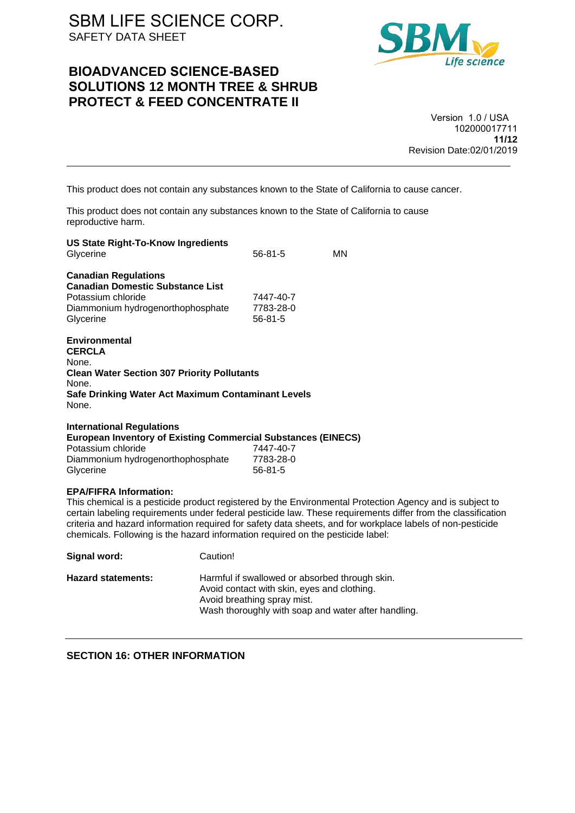## **BIOADVANCED SCIENCE-BASED SOLUTIONS 12 MONTH TREE & SHRUB PROTECT & FEED CONCENTRATE II**



Version 1.0 / USA 102000017711 **11/12** Revision Date:02/01/2019

This product does not contain any substances known to the State of California to cause cancer.

This product does not contain any substances known to the State of California to cause reproductive harm.

| <b>US State Right-To-Know Ingredients</b><br>Glycerine                                                                                                                | $56 - 81 - 5$                           | MN                                                                                                                                                                                                                                                                                                                                     |  |
|-----------------------------------------------------------------------------------------------------------------------------------------------------------------------|-----------------------------------------|----------------------------------------------------------------------------------------------------------------------------------------------------------------------------------------------------------------------------------------------------------------------------------------------------------------------------------------|--|
| <b>Canadian Regulations</b><br><b>Canadian Domestic Substance List</b><br>Potassium chloride<br>Diammonium hydrogenorthophosphate<br>Glycerine                        | 7447-40-7<br>7783-28-0<br>$56 - 81 - 5$ |                                                                                                                                                                                                                                                                                                                                        |  |
| Environmental<br><b>CERCLA</b><br>None.<br><b>Clean Water Section 307 Priority Pollutants</b><br>None.<br>Safe Drinking Water Act Maximum Contaminant Levels<br>None. |                                         |                                                                                                                                                                                                                                                                                                                                        |  |
| <b>International Regulations</b><br><b>European Inventory of Existing Commercial Substances (EINECS)</b><br>Potassium chloride<br>Diammonium hydrogenorthophosphate   | 7447-40-7<br>7783-28-0<br>$56 - 81 - 5$ |                                                                                                                                                                                                                                                                                                                                        |  |
| Glycerine<br><b>EPA/FIFRA Information:</b><br>and a so Francisco de la caractería de la falla de la caractería de la caractería de la falla de la caractería          |                                         | This chemical is a pesticide product registered by the Environmental Protection Agency and is subject to<br>certain labeling requirements under federal pesticide law. These requirements differ from the classification<br>criteria and hazard information required for safety data sheets, and for workplace labels of non-pesticide |  |

ents differ from the classification kplace labels of non-pesticide chemicals. Following is the hazard information required on the pesticide label: **Signal word:** Caution!

| <b>Hazard statements:</b> | Harmful if swallowed or absorbed through skin.<br>Avoid contact with skin, eyes and clothing.<br>Avoid breathing spray mist.<br>Wash thoroughly with soap and water after handling. |
|---------------------------|-------------------------------------------------------------------------------------------------------------------------------------------------------------------------------------|
|                           |                                                                                                                                                                                     |

**SECTION 16: OTHER INFORMATION**